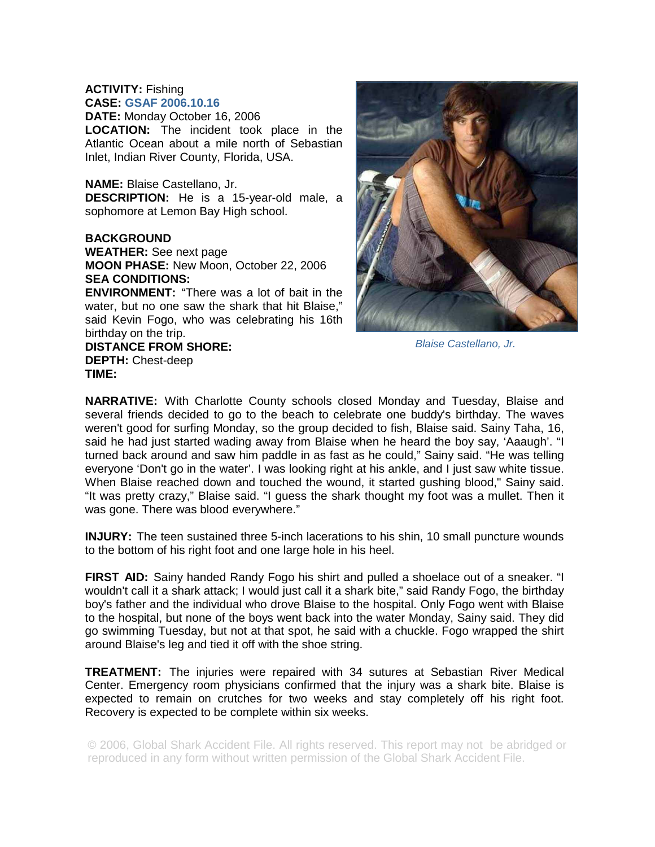## **ACTIVITY:** Fishing **CASE: GSAF 2006.10.16**

**DATE:** Monday October 16, 2006 **LOCATION:** The incident took place in the Atlantic Ocean about a mile north of Sebastian Inlet, Indian River County, Florida, USA.

## **NAME:** Blaise Castellano, Jr.

**DESCRIPTION:** He is a 15-year-old male, a sophomore at Lemon Bay High school.

## **BACKGROUND**

**WEATHER:** See next page **MOON PHASE:** New Moon, October 22, 2006 **SEA CONDITIONS:** 

**ENVIRONMENT:** "There was a lot of bait in the water, but no one saw the shark that hit Blaise," said Kevin Fogo, who was celebrating his 16th birthday on the trip.

## **DISTANCE FROM SHORE: DEPTH:** Chest-deep **TIME:**

*Blaise Castellano, Jr.* 

**NARRATIVE:** With Charlotte County schools closed Monday and Tuesday, Blaise and several friends decided to go to the beach to celebrate one buddy's birthday. The waves weren't good for surfing Monday, so the group decided to fish, Blaise said. Sainy Taha, 16, said he had just started wading away from Blaise when he heard the boy say, 'Aaaugh'. "I turned back around and saw him paddle in as fast as he could," Sainy said. "He was telling everyone 'Don't go in the water'. I was looking right at his ankle, and I just saw white tissue. When Blaise reached down and touched the wound, it started gushing blood," Sainy said. "It was pretty crazy," Blaise said. "I guess the shark thought my foot was a mullet. Then it was gone. There was blood everywhere."

**INJURY:** The teen sustained three 5-inch lacerations to his shin, 10 small puncture wounds to the bottom of his right foot and one large hole in his heel.

**FIRST AID:** Sainy handed Randy Fogo his shirt and pulled a shoelace out of a sneaker. "I wouldn't call it a shark attack; I would just call it a shark bite," said Randy Fogo, the birthday boy's father and the individual who drove Blaise to the hospital. Only Fogo went with Blaise to the hospital, but none of the boys went back into the water Monday, Sainy said. They did go swimming Tuesday, but not at that spot, he said with a chuckle. Fogo wrapped the shirt around Blaise's leg and tied it off with the shoe string.

**TREATMENT:** The injuries were repaired with 34 sutures at Sebastian River Medical Center. Emergency room physicians confirmed that the injury was a shark bite. Blaise is expected to remain on crutches for two weeks and stay completely off his right foot. Recovery is expected to be complete within six weeks.

© 2006, Global Shark Accident File. All rights reserved. This report may not be abridged or reproduced in any form without written permission of the Global Shark Accident File.